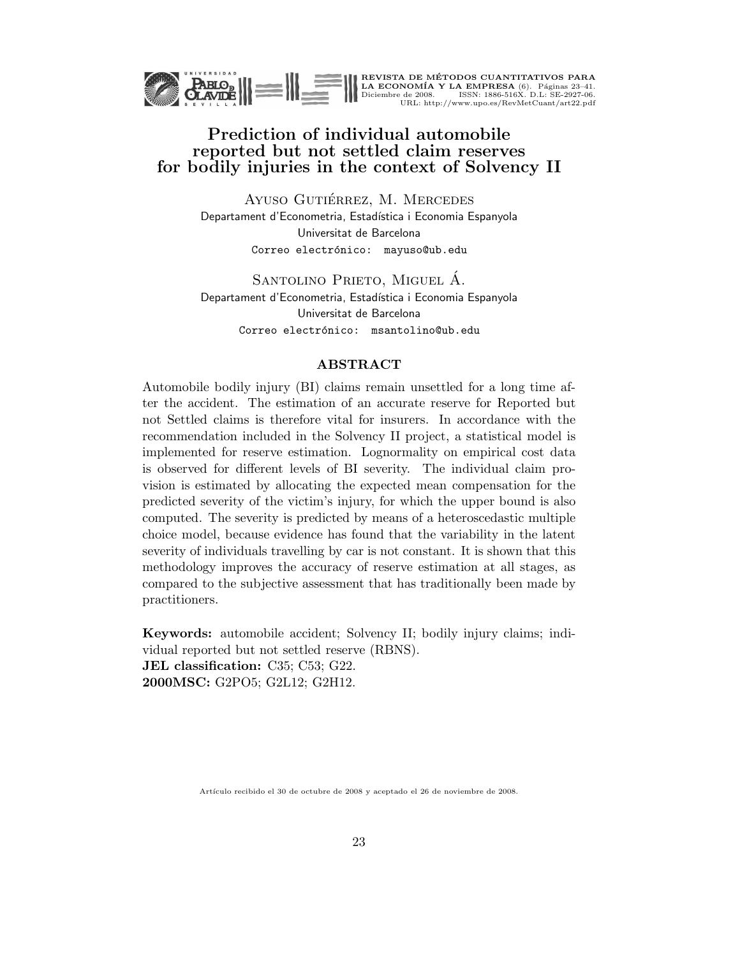

REVISTA DE MÉTODOS CUANTITATIVOS PARA<br>LA ECONOMÍA Y LA EMPRESA (6). Páginas 23–41.<br>Diciembre de 2008. ISSN: 1886-516X. D.L: SE-2927-06.<br>URL: http://www.upo.es/RevMetCuant/art22.pdf

## Prediction of individual automobile reported but not settled claim reserves for bodily injuries in the context of Solvency II

AYUSO GUTIÉRREZ, M. MERCEDES Departament d'Econometria, Estadística i Economia Espanyola Universitat de Barcelona Correo electrónico: mayuso@ub.edu

SANTOLINO PRIETO, MIGUEL Á. Departament d'Econometria, Estadística i Economia Espanyola Universitat de Barcelona Correo electrónico: msantolino@ub.edu

#### ABSTRACT

Automobile bodily injury (BI) claims remain unsettled for a long time after the accident. The estimation of an accurate reserve for Reported but not Settled claims is therefore vital for insurers. In accordance with the recommendation included in the Solvency II project, a statistical model is implemented for reserve estimation. Lognormality on empirical cost data is observed for different levels of BI severity. The individual claim provision is estimated by allocating the expected mean compensation for the predicted severity of the victim's injury, for which the upper bound is also computed. The severity is predicted by means of a heteroscedastic multiple choice model, because evidence has found that the variability in the latent severity of individuals travelling by car is not constant. It is shown that this methodology improves the accuracy of reserve estimation at all stages, as compared to the subjective assessment that has traditionally been made by practitioners.

Keywords: automobile accident; Solvency II; bodily injury claims; individual reported but not settled reserve (RBNS). JEL classification: C35; C53; G22. 2000MSC: G2PO5; G2L12; G2H12.

Artículo recibido el 30 de octubre de 2008 y aceptado el 26 de noviembre de 2008.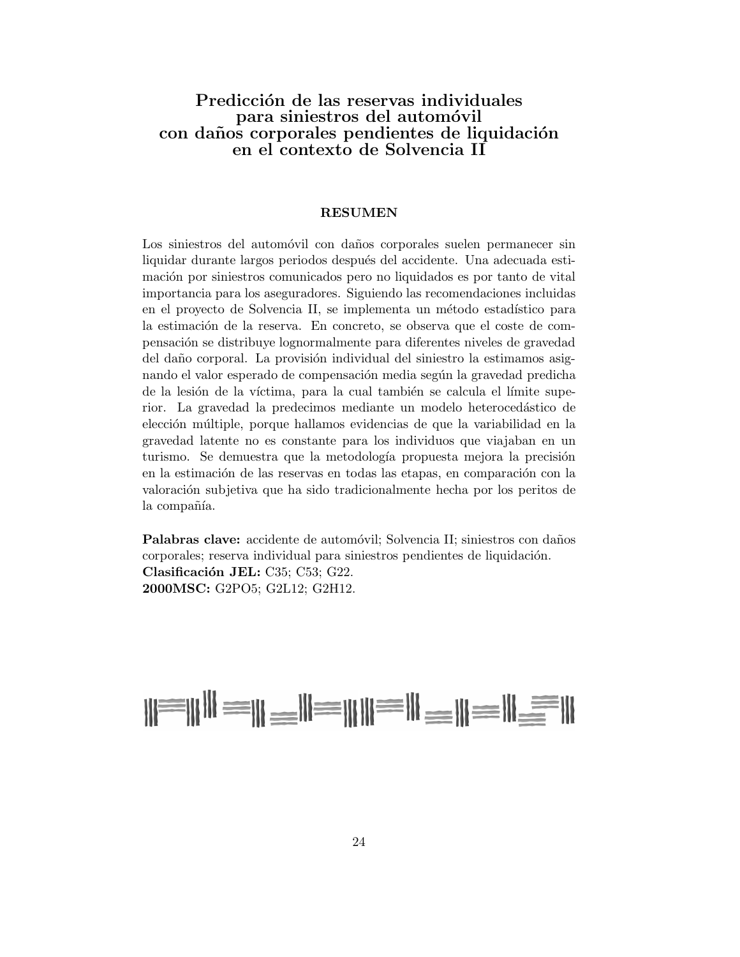### Predicción de las reservas individuales para siniestros del automóvil con daños corporales pendientes de liquidación en el contexto de Solvencia II

#### RESUMEN

Los siniestros del automóvil con daños corporales suelen permanecer sin liquidar durante largos periodos después del accidente. Una adecuada estimación por siniestros comunicados pero no liquidados es por tanto de vital importancia para los aseguradores. Siguiendo las recomendaciones incluidas en el proyecto de Solvencia II, se implementa un método estadístico para la estimación de la reserva. En concreto, se observa que el coste de compensaci´on se distribuye lognormalmente para diferentes niveles de gravedad del daño corporal. La provisión individual del siniestro la estimamos asignando el valor esperado de compensación media según la gravedad predicha de la lesión de la víctima, para la cual también se calcula el límite superior. La gravedad la predecimos mediante un modelo heterocedástico de elección múltiple, porque hallamos evidencias de que la variabilidad en la gravedad latente no es constante para los individuos que viajaban en un turismo. Se demuestra que la metodología propuesta mejora la precisión en la estimación de las reservas en todas las etapas, en comparación con la valoración subjetiva que ha sido tradicionalmente hecha por los peritos de la compañía.

Palabras clave: accidente de automóvil; Solvencia II; siniestros con daños corporales; reserva individual para siniestros pendientes de liquidación. Clasificación JEL: C35; C53; G22. 2000MSC: G2PO5; G2L12; G2H12.

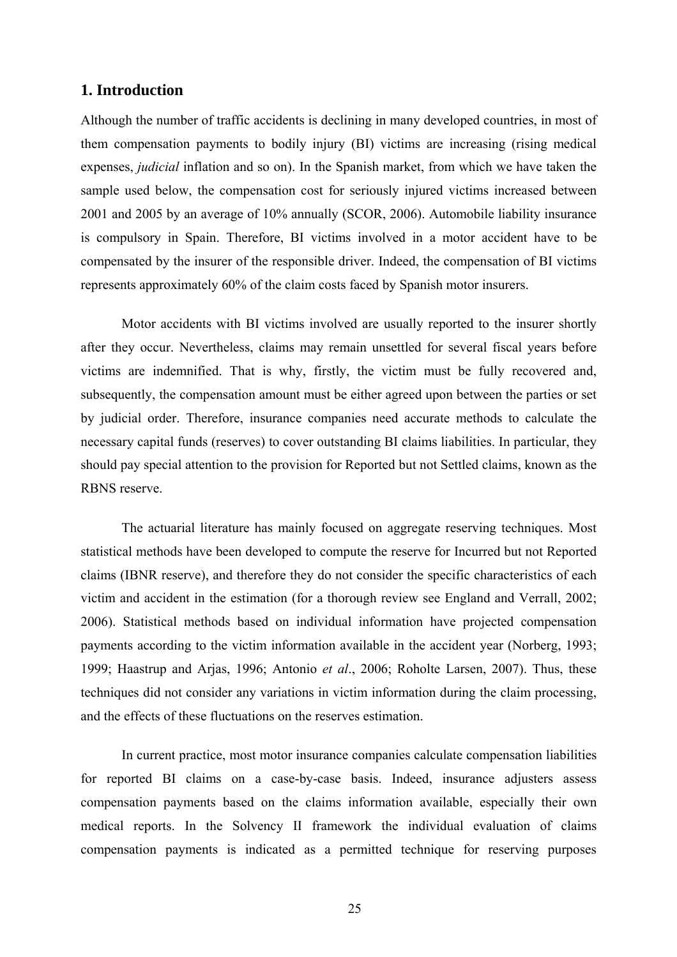### **1. Introduction**

Although the number of traffic accidents is declining in many developed countries, in most of them compensation payments to bodily injury (BI) victims are increasing (rising medical expenses, *judicial* inflation and so on). In the Spanish market, from which we have taken the sample used below, the compensation cost for seriously injured victims increased between 2001 and 2005 by an average of 10% annually (SCOR, 2006). Automobile liability insurance is compulsory in Spain. Therefore, BI victims involved in a motor accident have to be compensated by the insurer of the responsible driver. Indeed, the compensation of BI victims represents approximately 60% of the claim costs faced by Spanish motor insurers.

Motor accidents with BI victims involved are usually reported to the insurer shortly after they occur. Nevertheless, claims may remain unsettled for several fiscal years before victims are indemnified. That is why, firstly, the victim must be fully recovered and, subsequently, the compensation amount must be either agreed upon between the parties or set by judicial order. Therefore, insurance companies need accurate methods to calculate the necessary capital funds (reserves) to cover outstanding BI claims liabilities. In particular, they should pay special attention to the provision for Reported but not Settled claims, known as the RBNS reserve.

The actuarial literature has mainly focused on aggregate reserving techniques. Most statistical methods have been developed to compute the reserve for Incurred but not Reported claims (IBNR reserve), and therefore they do not consider the specific characteristics of each victim and accident in the estimation (for a thorough review see England and Verrall, 2002; 2006). Statistical methods based on individual information have projected compensation payments according to the victim information available in the accident year (Norberg, 1993; 1999; Haastrup and Arjas, 1996; Antonio *et al*., 2006; Roholte Larsen, 2007). Thus, these techniques did not consider any variations in victim information during the claim processing, and the effects of these fluctuations on the reserves estimation.

In current practice, most motor insurance companies calculate compensation liabilities for reported BI claims on a case-by-case basis. Indeed, insurance adjusters assess compensation payments based on the claims information available, especially their own medical reports. In the Solvency II framework the individual evaluation of claims compensation payments is indicated as a permitted technique for reserving purposes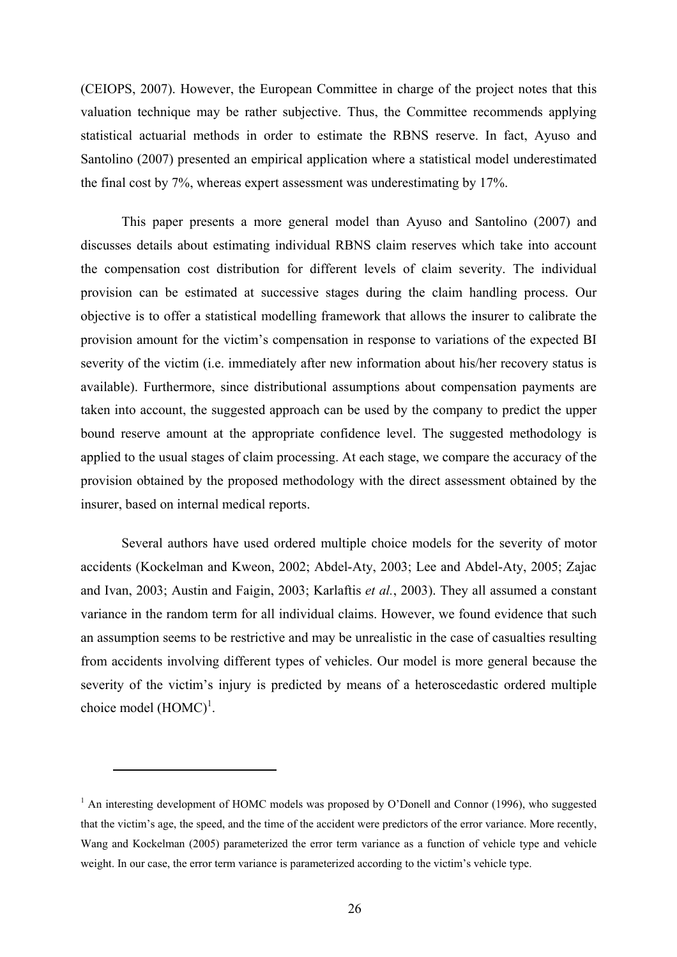(CEIOPS, 2007). However, the European Committee in charge of the project notes that this valuation technique may be rather subjective. Thus, the Committee recommends applying statistical actuarial methods in order to estimate the RBNS reserve. In fact, Ayuso and Santolino (2007) presented an empirical application where a statistical model underestimated the final cost by 7%, whereas expert assessment was underestimating by 17%.

This paper presents a more general model than Ayuso and Santolino (2007) and discusses details about estimating individual RBNS claim reserves which take into account the compensation cost distribution for different levels of claim severity. The individual provision can be estimated at successive stages during the claim handling process. Our objective is to offer a statistical modelling framework that allows the insurer to calibrate the provision amount for the victim's compensation in response to variations of the expected BI severity of the victim (i.e. immediately after new information about his/her recovery status is available). Furthermore, since distributional assumptions about compensation payments are taken into account, the suggested approach can be used by the company to predict the upper bound reserve amount at the appropriate confidence level. The suggested methodology is applied to the usual stages of claim processing. At each stage, we compare the accuracy of the provision obtained by the proposed methodology with the direct assessment obtained by the insurer, based on internal medical reports.

Several authors have used ordered multiple choice models for the severity of motor accidents (Kockelman and Kweon, 2002; Abdel-Aty, 2003; Lee and Abdel-Aty, 2005; Zajac and Ivan, 2003; Austin and Faigin, 2003; Karlaftis *et al.*, 2003). They all assumed a constant variance in the random term for all individual claims. However, we found evidence that such an assumption seems to be restrictive and may be unrealistic in the case of casualties resulting from accidents involving different types of vehicles. Our model is more general because the severity of the victim's injury is predicted by means of a heteroscedastic ordered multiple choice model  $(HOMC)^1$ .

 $\overline{a}$ 

<sup>&</sup>lt;sup>1</sup> An interesting development of HOMC models was proposed by O'Donell and Connor (1996), who suggested that the victim's age, the speed, and the time of the accident were predictors of the error variance. More recently, Wang and Kockelman (2005) parameterized the error term variance as a function of vehicle type and vehicle weight. In our case, the error term variance is parameterized according to the victim's vehicle type.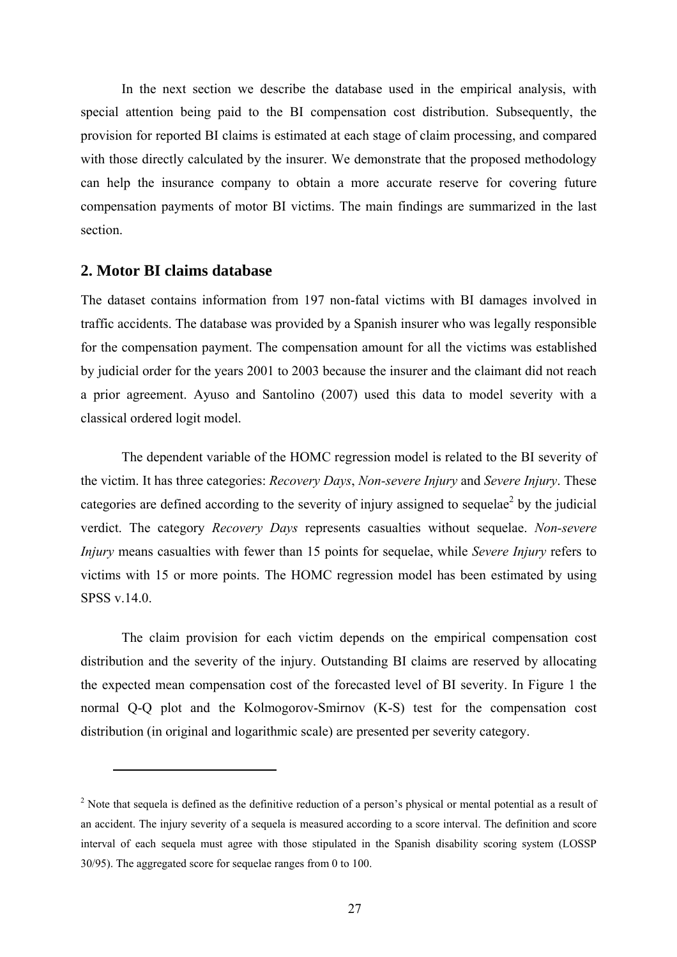In the next section we describe the database used in the empirical analysis, with special attention being paid to the BI compensation cost distribution. Subsequently, the provision for reported BI claims is estimated at each stage of claim processing, and compared with those directly calculated by the insurer. We demonstrate that the proposed methodology can help the insurance company to obtain a more accurate reserve for covering future compensation payments of motor BI victims. The main findings are summarized in the last section.

# **2. Motor BI claims database**

 $\overline{a}$ 

The dataset contains information from 197 non-fatal victims with BI damages involved in traffic accidents. The database was provided by a Spanish insurer who was legally responsible for the compensation payment. The compensation amount for all the victims was established by judicial order for the years 2001 to 2003 because the insurer and the claimant did not reach a prior agreement. Ayuso and Santolino (2007) used this data to model severity with a classical ordered logit model.

The dependent variable of the HOMC regression model is related to the BI severity of the victim. It has three categories: *Recovery Days*, *Non-severe Injury* and *Severe Injury*. These categories are defined according to the severity of injury assigned to sequelae<sup>2</sup> by the judicial verdict. The category *Recovery Days* represents casualties without sequelae. *Non-severe Injury* means casualties with fewer than 15 points for sequelae, while *Severe Injury* refers to victims with 15 or more points. The HOMC regression model has been estimated by using  $SPSS v 14.0$ 

The claim provision for each victim depends on the empirical compensation cost distribution and the severity of the injury. Outstanding BI claims are reserved by allocating the expected mean compensation cost of the forecasted level of BI severity. In Figure 1 the normal Q-Q plot and the Kolmogorov-Smirnov (K-S) test for the compensation cost distribution (in original and logarithmic scale) are presented per severity category.

 $2<sup>2</sup>$  Note that sequela is defined as the definitive reduction of a person's physical or mental potential as a result of an accident. The injury severity of a sequela is measured according to a score interval. The definition and score interval of each sequela must agree with those stipulated in the Spanish disability scoring system (LOSSP 30/95). The aggregated score for sequelae ranges from 0 to 100.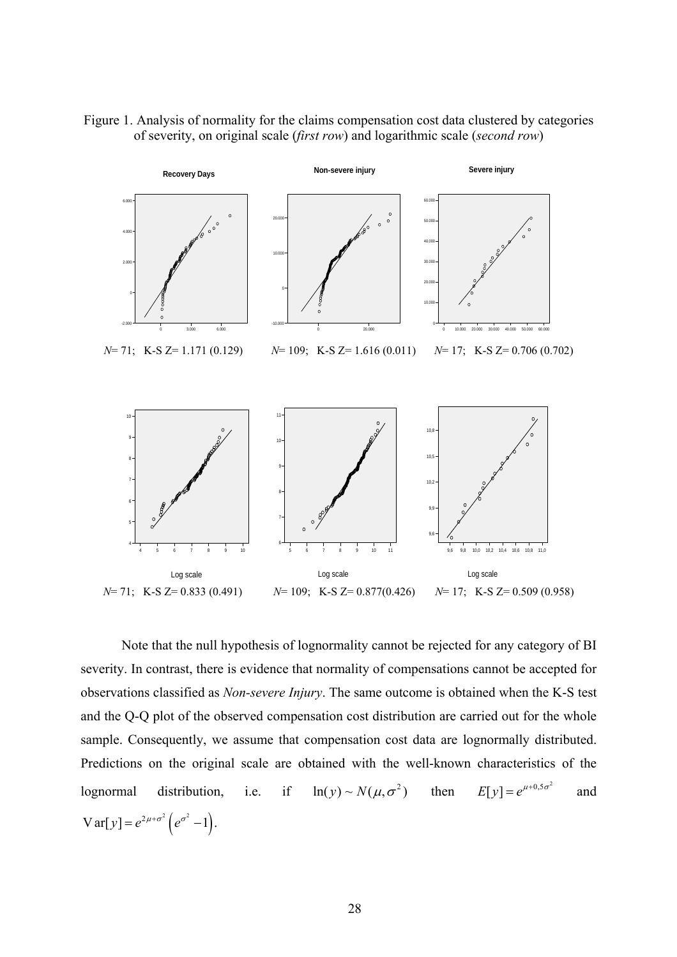



Note that the null hypothesis of lognormality cannot be rejected for any category of BI severity. In contrast, there is evidence that normality of compensations cannot be accepted for observations classified as *Non-severe Injury*. The same outcome is obtained when the K-S test and the Q-Q plot of the observed compensation cost distribution are carried out for the whole sample. Consequently, we assume that compensation cost data are lognormally distributed. Predictions on the original scale are obtained with the well-known characteristics of the lognormal distribution, i.e. if  $ln(y) \sim N(\mu, \sigma^2)$  then  $E[y] = e^{\mu+0.5\sigma^2}$  and  $Var[y] = e^{2\mu + \sigma^2} (e^{\sigma^2} - 1).$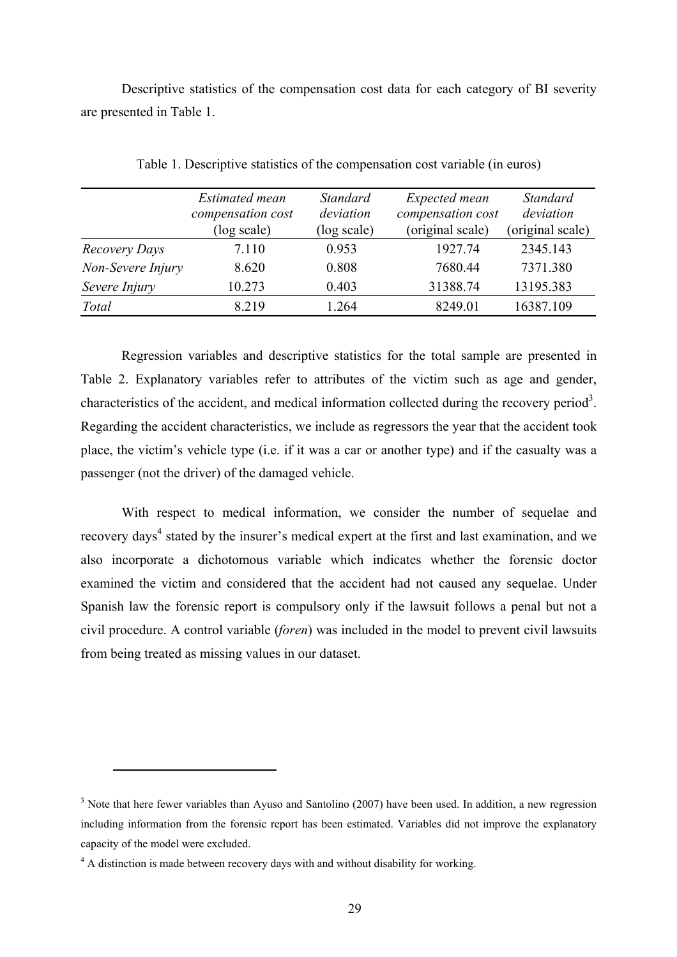Descriptive statistics of the compensation cost data for each category of BI severity are presented in Table 1.

|                   | <b>Estimated mean</b>            | <b>Standard</b>          | Expected mean                         | <b>Standard</b>               |
|-------------------|----------------------------------|--------------------------|---------------------------------------|-------------------------------|
|                   | compensation cost<br>(log scale) | deviation<br>(log scale) | compensation cost<br>(original scale) | deviation<br>(original scale) |
| Recovery Days     | 7.110                            | 0.953                    | 1927.74                               | 2345.143                      |
| Non-Severe Injury | 8.620                            | 0.808                    | 7680.44                               | 7371.380                      |
| Severe Injury     | 10.273                           | 0.403                    | 31388.74                              | 13195.383                     |
| Total             | 8.219                            | 1.264                    | 8249.01                               | 16387.109                     |

Table 1. Descriptive statistics of the compensation cost variable (in euros)

Regression variables and descriptive statistics for the total sample are presented in Table 2. Explanatory variables refer to attributes of the victim such as age and gender, characteristics of the accident, and medical information collected during the recovery period<sup>3</sup>. Regarding the accident characteristics, we include as regressors the year that the accident took place, the victim's vehicle type (i.e. if it was a car or another type) and if the casualty was a passenger (not the driver) of the damaged vehicle.

With respect to medical information, we consider the number of sequelae and recovery days<sup>4</sup> stated by the insurer's medical expert at the first and last examination, and we also incorporate a dichotomous variable which indicates whether the forensic doctor examined the victim and considered that the accident had not caused any sequelae. Under Spanish law the forensic report is compulsory only if the lawsuit follows a penal but not a civil procedure. A control variable (*foren*) was included in the model to prevent civil lawsuits from being treated as missing values in our dataset.

 $\overline{a}$ 

 $3$  Note that here fewer variables than Ayuso and Santolino (2007) have been used. In addition, a new regression including information from the forensic report has been estimated. Variables did not improve the explanatory capacity of the model were excluded.

<sup>&</sup>lt;sup>4</sup> A distinction is made between recovery days with and without disability for working.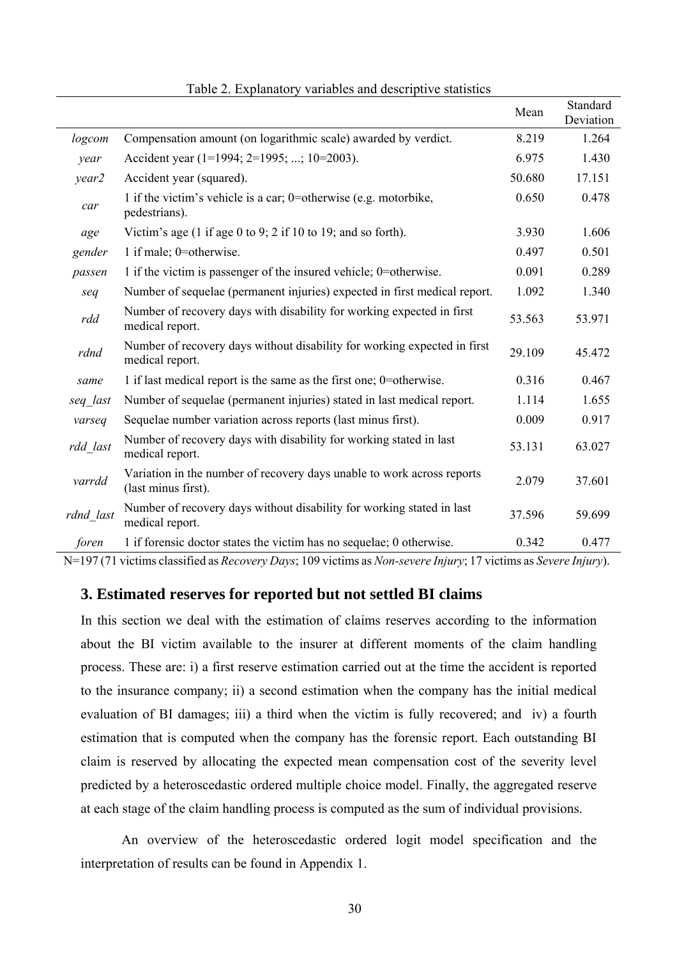|           |                                                                                               | Mean   | Standard<br>Deviation |
|-----------|-----------------------------------------------------------------------------------------------|--------|-----------------------|
| logcom    | Compensation amount (on logarithmic scale) awarded by verdict.                                | 8.219  | 1.264                 |
| year      | Accident year (1=1994; 2=1995; ; 10=2003).                                                    | 6.975  | 1.430                 |
| year2     | Accident year (squared).                                                                      | 50.680 | 17.151                |
| car       | 1 if the victim's vehicle is a car; 0=otherwise (e.g. motorbike,<br>pedestrians).             | 0.650  | 0.478                 |
| age       | Victim's age (1 if age 0 to 9; 2 if 10 to 19; and so forth).                                  | 3.930  | 1.606                 |
| gender    | 1 if male; 0=otherwise.                                                                       | 0.497  | 0.501                 |
| passen    | 1 if the victim is passenger of the insured vehicle; 0=otherwise.                             | 0.091  | 0.289                 |
| seq       | Number of sequelae (permanent injuries) expected in first medical report.                     | 1.092  | 1.340                 |
| rdd       | Number of recovery days with disability for working expected in first<br>medical report.      | 53.563 | 53.971                |
| rdnd      | Number of recovery days without disability for working expected in first<br>medical report.   | 29.109 | 45.472                |
| same      | 1 if last medical report is the same as the first one; 0=otherwise.                           | 0.316  | 0.467                 |
| seq last  | Number of sequelae (permanent injuries) stated in last medical report.                        | 1.114  | 1.655                 |
| varseq    | Sequelae number variation across reports (last minus first).                                  | 0.009  | 0.917                 |
| rdd_last  | Number of recovery days with disability for working stated in last<br>medical report.         | 53.131 | 63.027                |
| varrdd    | Variation in the number of recovery days unable to work across reports<br>(last minus first). | 2.079  | 37.601                |
| rdnd last | Number of recovery days without disability for working stated in last<br>medical report.      | 37.596 | 59.699                |
| foren     | 1 if forensic doctor states the victim has no sequelae; 0 otherwise.                          | 0.342  | 0.477                 |

Table 2. Explanatory variables and descriptive statistics

N=197 (71 victims classified as *Recovery Days*; 109 victims as *Non-severe Injury*; 17 victims as *Severe Injury*).

#### **3. Estimated reserves for reported but not settled BI claims**

In this section we deal with the estimation of claims reserves according to the information about the BI victim available to the insurer at different moments of the claim handling process. These are: i) a first reserve estimation carried out at the time the accident is reported to the insurance company; ii) a second estimation when the company has the initial medical evaluation of BI damages; iii) a third when the victim is fully recovered; and iv) a fourth estimation that is computed when the company has the forensic report. Each outstanding BI claim is reserved by allocating the expected mean compensation cost of the severity level predicted by a heteroscedastic ordered multiple choice model. Finally, the aggregated reserve at each stage of the claim handling process is computed as the sum of individual provisions.

An overview of the heteroscedastic ordered logit model specification and the interpretation of results can be found in Appendix 1.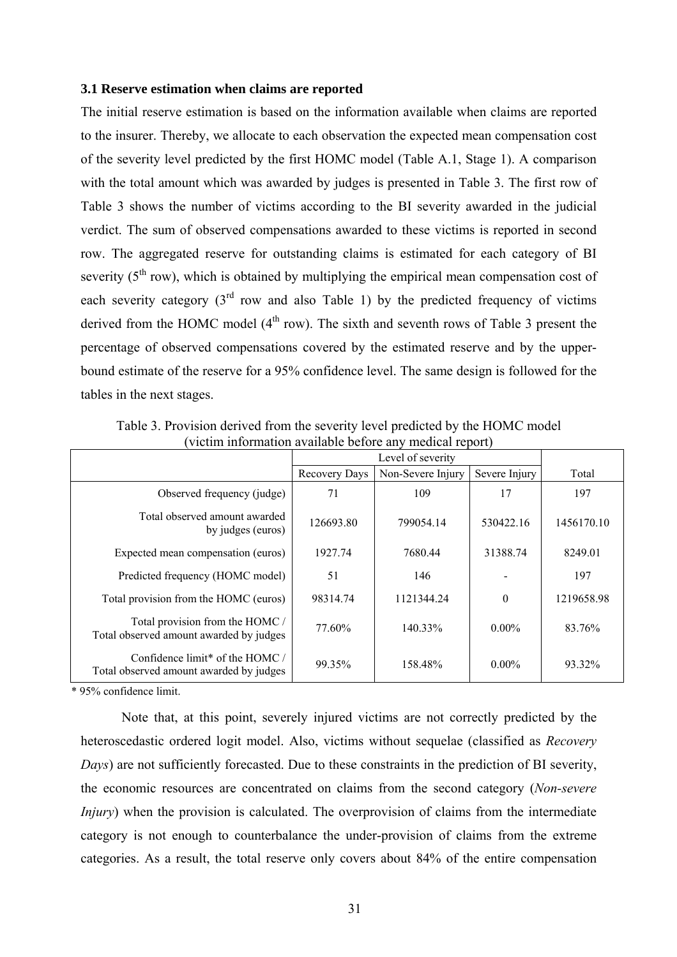#### **3.1 Reserve estimation when claims are reported**

The initial reserve estimation is based on the information available when claims are reported to the insurer. Thereby, we allocate to each observation the expected mean compensation cost of the severity level predicted by the first HOMC model (Table A.1, Stage 1). A comparison with the total amount which was awarded by judges is presented in Table 3. The first row of Table 3 shows the number of victims according to the BI severity awarded in the judicial verdict. The sum of observed compensations awarded to these victims is reported in second row. The aggregated reserve for outstanding claims is estimated for each category of BI severity  $(5<sup>th</sup> row)$ , which is obtained by multiplying the empirical mean compensation cost of each severity category  $3<sup>rd</sup>$  row and also Table 1) by the predicted frequency of victims derived from the HOMC model  $(4<sup>th</sup> row)$ . The sixth and seventh rows of Table 3 present the percentage of observed compensations covered by the estimated reserve and by the upperbound estimate of the reserve for a 95% confidence level. The same design is followed for the tables in the next stages.

|                                                                              |               | Level of severity |               |            |  |
|------------------------------------------------------------------------------|---------------|-------------------|---------------|------------|--|
|                                                                              | Recovery Days | Non-Severe Injury | Severe Injury | Total      |  |
| Observed frequency (judge)                                                   | 71            | 109               | 17            | 197        |  |
| Total observed amount awarded<br>by judges (euros)                           | 126693.80     | 799054.14         | 530422.16     | 1456170.10 |  |
| Expected mean compensation (euros)                                           | 1927.74       | 7680.44           | 31388.74      | 8249.01    |  |
| Predicted frequency (HOMC model)                                             | 51            | 146               |               | 197        |  |
| Total provision from the HOMC (euros)                                        | 98314.74      | 1121344.24        | $\theta$      | 1219658.98 |  |
| Total provision from the HOMC /<br>Total observed amount awarded by judges   | 77.60%        | 140.33%           | $0.00\%$      | 83.76%     |  |
| Confidence limit* of the $HOMC$ /<br>Total observed amount awarded by judges | 99.35%        | 158.48%           | $0.00\%$      | 93.32%     |  |

Table 3. Provision derived from the severity level predicted by the HOMC model (victim information available before any medical report)

\* 95% confidence limit.

Note that, at this point, severely injured victims are not correctly predicted by the heteroscedastic ordered logit model. Also, victims without sequelae (classified as *Recovery Days*) are not sufficiently forecasted. Due to these constraints in the prediction of BI severity, the economic resources are concentrated on claims from the second category (*Non-severe Injury*) when the provision is calculated. The overprovision of claims from the intermediate category is not enough to counterbalance the under-provision of claims from the extreme categories. As a result, the total reserve only covers about 84% of the entire compensation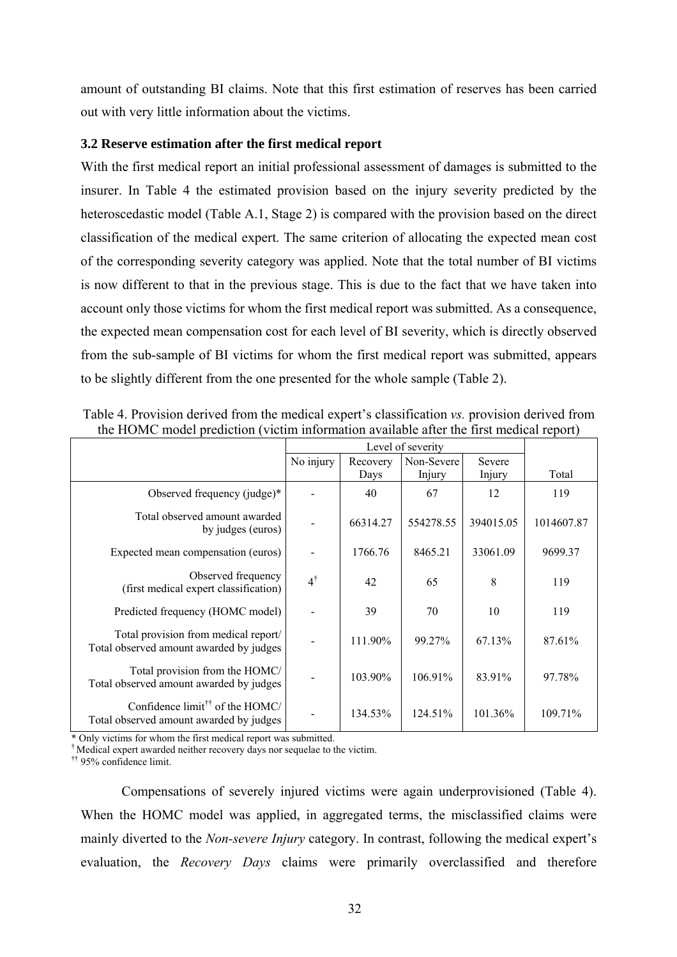amount of outstanding BI claims. Note that this first estimation of reserves has been carried out with very little information about the victims.

#### **3.2 Reserve estimation after the first medical report**

With the first medical report an initial professional assessment of damages is submitted to the insurer. In Table 4 the estimated provision based on the injury severity predicted by the heteroscedastic model (Table A.1, Stage 2) is compared with the provision based on the direct classification of the medical expert. The same criterion of allocating the expected mean cost of the corresponding severity category was applied. Note that the total number of BI victims is now different to that in the previous stage. This is due to the fact that we have taken into account only those victims for whom the first medical report was submitted. As a consequence, the expected mean compensation cost for each level of BI severity, which is directly observed from the sub-sample of BI victims for whom the first medical report was submitted, appears to be slightly different from the one presented for the whole sample (Table 2).

|                                                                                                                  |               |          | Level of severity |           |            |
|------------------------------------------------------------------------------------------------------------------|---------------|----------|-------------------|-----------|------------|
|                                                                                                                  | No injury     | Recovery | Non-Severe        | Severe    |            |
|                                                                                                                  |               | Days     | Injury            | Injury    | Total      |
| Observed frequency (judge)*                                                                                      |               | 40       | 67                | 12        | 119        |
| Total observed amount awarded<br>by judges (euros)                                                               |               | 66314.27 | 554278.55         | 394015.05 | 1014607.87 |
| Expected mean compensation (euros)                                                                               |               | 1766.76  | 8465.21           | 33061.09  | 9699.37    |
| Observed frequency<br>(first medical expert classification)                                                      | $4^{\dagger}$ | 42       | 65                | 8         | 119        |
| Predicted frequency (HOMC model)                                                                                 |               | 39       | 70                | 10        | 119        |
| Total provision from medical report/<br>Total observed amount awarded by judges                                  |               | 111.90%  | 99.27%            | 67.13%    | 87.61%     |
| Total provision from the HOMC/<br>Total observed amount awarded by judges                                        |               | 103.90%  | 106.91%           | 83.91%    | 97.78%     |
| Confidence limit <sup><math>\dagger\uparrow</math></sup> of the HOMC/<br>Total observed amount awarded by judges |               | 134.53%  | 124.51%           | 101.36%   | 109.71%    |

Table 4. Provision derived from the medical expert's classification *vs.* provision derived from the HOMC model prediction (victim information available after the first medical report)

\* Only victims for whom the first medical report was submitted.

† Medical expert awarded neither recovery days nor sequelae to the victim.

†† 95% confidence limit.

Compensations of severely injured victims were again underprovisioned (Table 4). When the HOMC model was applied, in aggregated terms, the misclassified claims were mainly diverted to the *Non-severe Injury* category. In contrast, following the medical expert's evaluation, the *Recovery Days* claims were primarily overclassified and therefore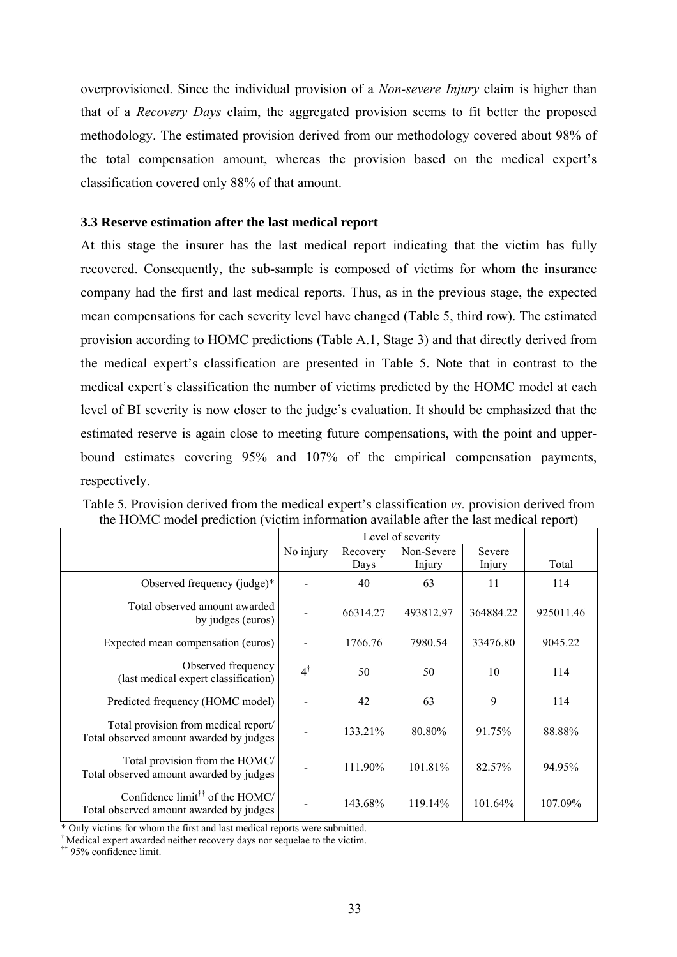overprovisioned. Since the individual provision of a *Non-severe Injury* claim is higher than that of a *Recovery Days* claim, the aggregated provision seems to fit better the proposed methodology. The estimated provision derived from our methodology covered about 98% of the total compensation amount, whereas the provision based on the medical expert's classification covered only 88% of that amount.

### **3.3 Reserve estimation after the last medical report**

At this stage the insurer has the last medical report indicating that the victim has fully recovered. Consequently, the sub-sample is composed of victims for whom the insurance company had the first and last medical reports. Thus, as in the previous stage, the expected mean compensations for each severity level have changed (Table 5, third row). The estimated provision according to HOMC predictions (Table A.1, Stage 3) and that directly derived from the medical expert's classification are presented in Table 5. Note that in contrast to the medical expert's classification the number of victims predicted by the HOMC model at each level of BI severity is now closer to the judge's evaluation. It should be emphasized that the estimated reserve is again close to meeting future compensations, with the point and upperbound estimates covering 95% and 107% of the empirical compensation payments, respectively.

|                                                                                        |               | Level of severity |            |           |           |  |  |
|----------------------------------------------------------------------------------------|---------------|-------------------|------------|-----------|-----------|--|--|
|                                                                                        | No injury     | Recovery          | Non-Severe | Severe    |           |  |  |
|                                                                                        |               | Days              | Injury     | Injury    | Total     |  |  |
| Observed frequency (judge)*                                                            |               | 40                | 63         | 11        | 114       |  |  |
| Total observed amount awarded<br>by judges (euros)                                     |               | 66314.27          | 493812.97  | 364884.22 | 925011.46 |  |  |
| Expected mean compensation (euros)                                                     |               | 1766.76           | 7980.54    | 33476.80  | 9045.22   |  |  |
| Observed frequency<br>(last medical expert classification)                             | $4^{\dagger}$ | 50                | 50         | 10        | 114       |  |  |
| Predicted frequency (HOMC model)                                                       |               | 42                | 63         | 9         | 114       |  |  |
| Total provision from medical report/<br>Total observed amount awarded by judges        |               | 133.21%           | 80.80%     | 91.75%    | 88.88%    |  |  |
| Total provision from the HOMC/<br>Total observed amount awarded by judges              |               | 111.90%           | 101.81%    | 82.57%    | 94.95%    |  |  |
| Confidence limit <sup>††</sup> of the HOMC/<br>Total observed amount awarded by judges |               | 143.68%           | 119.14%    | 101.64%   | 107.09%   |  |  |

Table 5. Provision derived from the medical expert's classification *vs.* provision derived from the HOMC model prediction (victim information available after the last medical report)

\* Only victims for whom the first and last medical reports were submitted.

† Medical expert awarded neither recovery days nor sequelae to the victim.

†† 95% confidence limit.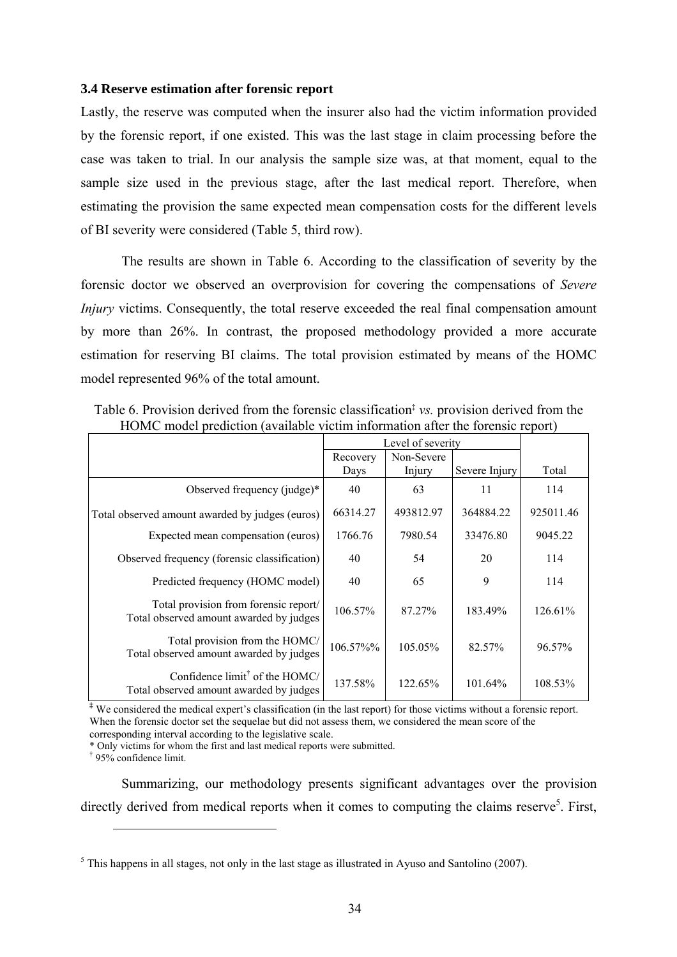#### **3.4 Reserve estimation after forensic report**

Lastly, the reserve was computed when the insurer also had the victim information provided by the forensic report, if one existed. This was the last stage in claim processing before the case was taken to trial. In our analysis the sample size was, at that moment, equal to the sample size used in the previous stage, after the last medical report. Therefore, when estimating the provision the same expected mean compensation costs for the different levels of BI severity were considered (Table 5, third row).

The results are shown in Table 6. According to the classification of severity by the forensic doctor we observed an overprovision for covering the compensations of *Severe Injury* victims. Consequently, the total reserve exceeded the real final compensation amount by more than 26%. In contrast, the proposed methodology provided a more accurate estimation for reserving BI claims. The total provision estimated by means of the HOMC model represented 96% of the total amount.

|                                                                                             |          | Level of severity |               |           |
|---------------------------------------------------------------------------------------------|----------|-------------------|---------------|-----------|
|                                                                                             | Recovery | Non-Severe        |               |           |
|                                                                                             | Days     | Injury            | Severe Injury | Total     |
| Observed frequency (judge)*                                                                 | 40       | 63                | 11            | 114       |
| Total observed amount awarded by judges (euros)                                             | 66314.27 | 493812.97         | 364884.22     | 925011.46 |
| Expected mean compensation (euros)                                                          | 1766.76  | 7980.54           | 33476.80      | 9045.22   |
| Observed frequency (forensic classification)                                                | 40       | 54                | 20            | 114       |
| Predicted frequency (HOMC model)                                                            | 40       | 65                | 9             | 114       |
| Total provision from forensic report/<br>Total observed amount awarded by judges            | 106.57%  | 87.27%            | 183.49%       | 126.61%   |
| Total provision from the HOMC/<br>Total observed amount awarded by judges                   | 106.57%% | 105.05%           | 82.57%        | 96.57%    |
| Confidence $\text{limit}^{\dagger}$ of the HOMC/<br>Total observed amount awarded by judges | 137.58%  | 122.65%           | 101.64%       | 108.53%   |

Table 6. Provision derived from the forensic classification<sup>‡</sup> *vs.* provision derived from the HOMC model prediction (available victim information after the forensic report)

**‡** We considered the medical expert's classification (in the last report) for those victims without a forensic report. When the forensic doctor set the sequelae but did not assess them, we considered the mean score of the corresponding interval according to the legislative scale.

\* Only victims for whom the first and last medical reports were submitted.

† 95% confidence limit.

 $\overline{a}$ 

Summarizing, our methodology presents significant advantages over the provision directly derived from medical reports when it comes to computing the claims reserve<sup>5</sup>. First,

 $<sup>5</sup>$  This happens in all stages, not only in the last stage as illustrated in Ayuso and Santolino (2007).</sup>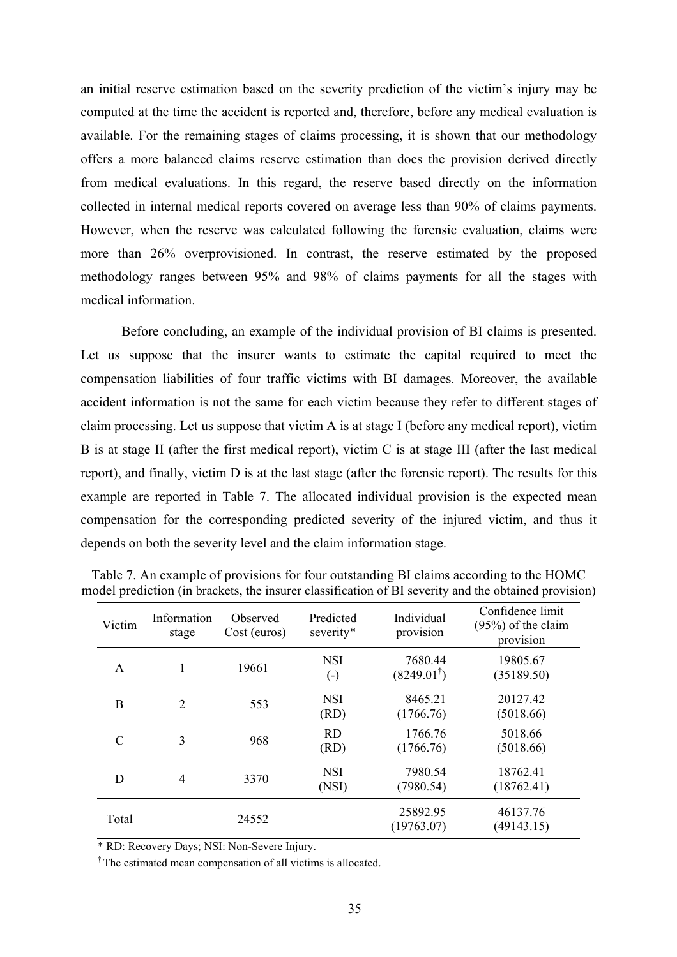an initial reserve estimation based on the severity prediction of the victim's injury may be computed at the time the accident is reported and, therefore, before any medical evaluation is available. For the remaining stages of claims processing, it is shown that our methodology offers a more balanced claims reserve estimation than does the provision derived directly from medical evaluations. In this regard, the reserve based directly on the information collected in internal medical reports covered on average less than 90% of claims payments. However, when the reserve was calculated following the forensic evaluation, claims were more than 26% overprovisioned. In contrast, the reserve estimated by the proposed methodology ranges between 95% and 98% of claims payments for all the stages with medical information.

Before concluding, an example of the individual provision of BI claims is presented. Let us suppose that the insurer wants to estimate the capital required to meet the compensation liabilities of four traffic victims with BI damages. Moreover, the available accident information is not the same for each victim because they refer to different stages of claim processing. Let us suppose that victim A is at stage I (before any medical report), victim B is at stage II (after the first medical report), victim C is at stage III (after the last medical report), and finally, victim D is at the last stage (after the forensic report). The results for this example are reported in Table 7. The allocated individual provision is the expected mean compensation for the corresponding predicted severity of the injured victim, and thus it depends on both the severity level and the claim information stage.

| Victim        | Information<br>stage | Observed<br>Cost (euros) | Predicted<br>severity*               | Individual<br>provision          | Confidence limit<br>$(95%)$ of the claim<br>provision |
|---------------|----------------------|--------------------------|--------------------------------------|----------------------------------|-------------------------------------------------------|
| A             |                      | 19661                    | <b>NSI</b><br>$\left( \cdot \right)$ | 7680.44<br>$(8249.01^{\dagger})$ | 19805.67<br>(35189.50)                                |
| B             | $\overline{2}$       | 553                      | <b>NSI</b><br>(RD)                   | 8465.21<br>(1766.76)             | 20127.42<br>(5018.66)                                 |
| $\mathcal{C}$ | 3                    | 968                      | <b>RD</b><br>(RD)                    | 1766.76<br>(1766.76)             | 5018.66<br>(5018.66)                                  |
| D             | 4                    | 3370                     | <b>NSI</b><br>(NSI)                  | 7980.54<br>(7980.54)             | 18762.41<br>(18762.41)                                |
| Total         |                      | 24552                    |                                      | 25892.95<br>(19763.07)           | 46137.76<br>(49143.15)                                |

Table 7. An example of provisions for four outstanding BI claims according to the HOMC model prediction (in brackets, the insurer classification of BI severity and the obtained provision)

\* RD: Recovery Days; NSI: Non-Severe Injury.

† The estimated mean compensation of all victims is allocated.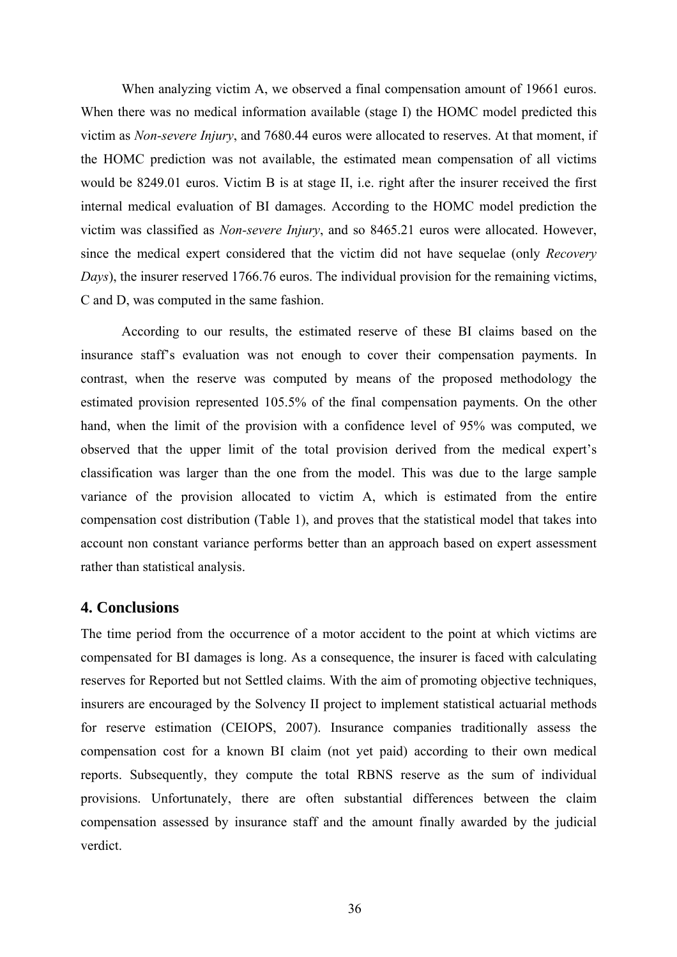When analyzing victim A, we observed a final compensation amount of 19661 euros. When there was no medical information available (stage I) the HOMC model predicted this victim as *Non-severe Injury*, and 7680.44 euros were allocated to reserves. At that moment, if the HOMC prediction was not available, the estimated mean compensation of all victims would be 8249.01 euros. Victim B is at stage II, i.e. right after the insurer received the first internal medical evaluation of BI damages. According to the HOMC model prediction the victim was classified as *Non-severe Injury*, and so 8465.21 euros were allocated. However, since the medical expert considered that the victim did not have sequelae (only *Recovery Days*), the insurer reserved 1766.76 euros. The individual provision for the remaining victims, C and D, was computed in the same fashion.

According to our results, the estimated reserve of these BI claims based on the insurance staff's evaluation was not enough to cover their compensation payments. In contrast, when the reserve was computed by means of the proposed methodology the estimated provision represented 105.5% of the final compensation payments. On the other hand, when the limit of the provision with a confidence level of 95% was computed, we observed that the upper limit of the total provision derived from the medical expert's classification was larger than the one from the model. This was due to the large sample variance of the provision allocated to victim A, which is estimated from the entire compensation cost distribution (Table 1), and proves that the statistical model that takes into account non constant variance performs better than an approach based on expert assessment rather than statistical analysis.

### **4. Conclusions**

The time period from the occurrence of a motor accident to the point at which victims are compensated for BI damages is long. As a consequence, the insurer is faced with calculating reserves for Reported but not Settled claims. With the aim of promoting objective techniques, insurers are encouraged by the Solvency II project to implement statistical actuarial methods for reserve estimation (CEIOPS, 2007). Insurance companies traditionally assess the compensation cost for a known BI claim (not yet paid) according to their own medical reports. Subsequently, they compute the total RBNS reserve as the sum of individual provisions. Unfortunately, there are often substantial differences between the claim compensation assessed by insurance staff and the amount finally awarded by the judicial verdict.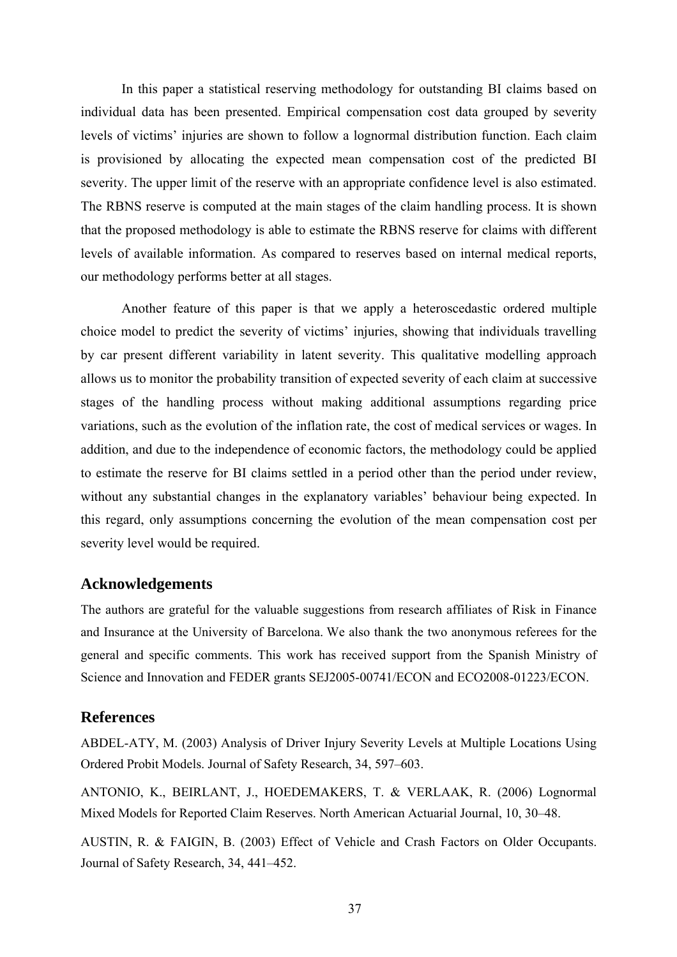In this paper a statistical reserving methodology for outstanding BI claims based on individual data has been presented. Empirical compensation cost data grouped by severity levels of victims' injuries are shown to follow a lognormal distribution function. Each claim is provisioned by allocating the expected mean compensation cost of the predicted BI severity. The upper limit of the reserve with an appropriate confidence level is also estimated. The RBNS reserve is computed at the main stages of the claim handling process. It is shown that the proposed methodology is able to estimate the RBNS reserve for claims with different levels of available information. As compared to reserves based on internal medical reports, our methodology performs better at all stages.

Another feature of this paper is that we apply a heteroscedastic ordered multiple choice model to predict the severity of victims' injuries, showing that individuals travelling by car present different variability in latent severity. This qualitative modelling approach allows us to monitor the probability transition of expected severity of each claim at successive stages of the handling process without making additional assumptions regarding price variations, such as the evolution of the inflation rate, the cost of medical services or wages. In addition, and due to the independence of economic factors, the methodology could be applied to estimate the reserve for BI claims settled in a period other than the period under review, without any substantial changes in the explanatory variables' behaviour being expected. In this regard, only assumptions concerning the evolution of the mean compensation cost per severity level would be required.

#### **Acknowledgements**

The authors are grateful for the valuable suggestions from research affiliates of Risk in Finance and Insurance at the University of Barcelona. We also thank the two anonymous referees for the general and specific comments. This work has received support from the Spanish Ministry of Science and Innovation and FEDER grants SEJ2005-00741/ECON and ECO2008-01223/ECON.

## **References**

ABDEL-ATY, M. (2003) Analysis of Driver Injury Severity Levels at Multiple Locations Using Ordered Probit Models. Journal of Safety Research, 34, 597–603.

ANTONIO, K., BEIRLANT, J., HOEDEMAKERS, T. & VERLAAK, R. (2006) Lognormal Mixed Models for Reported Claim Reserves. North American Actuarial Journal, 10, 30–48.

AUSTIN, R. & FAIGIN, B. (2003) Effect of Vehicle and Crash Factors on Older Occupants. Journal of Safety Research, 34, 441–452.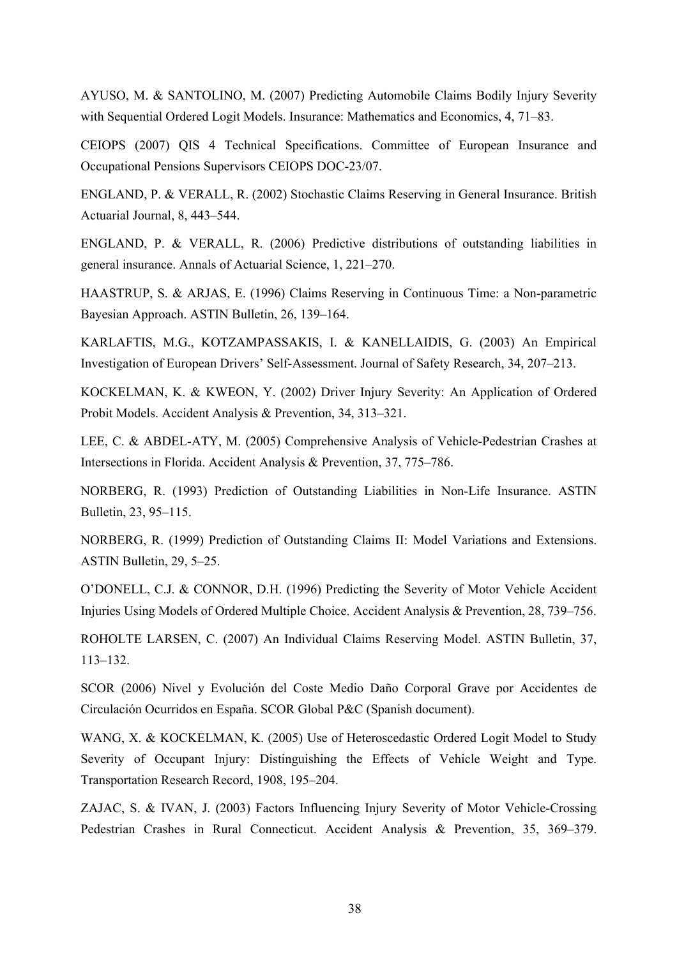AYUSO, M. & SANTOLINO, M. (2007) Predicting Automobile Claims Bodily Injury Severity with Sequential Ordered Logit Models. Insurance: Mathematics and Economics, 4, 71–83.

CEIOPS (2007) QIS 4 Technical Specifications. Committee of European Insurance and Occupational Pensions Supervisors CEIOPS DOC-23/07.

ENGLAND, P. & VERALL, R. (2002) Stochastic Claims Reserving in General Insurance. British Actuarial Journal, 8, 443–544.

ENGLAND, P. & VERALL, R. (2006) Predictive distributions of outstanding liabilities in general insurance. Annals of Actuarial Science, 1, 221–270.

HAASTRUP, S. & ARJAS, E. (1996) Claims Reserving in Continuous Time: a Non-parametric Bayesian Approach. ASTIN Bulletin, 26, 139–164.

KARLAFTIS, M.G., KOTZAMPASSAKIS, I. & KANELLAIDIS, G. (2003) An Empirical Investigation of European Drivers' Self-Assessment. Journal of Safety Research, 34, 207–213.

KOCKELMAN, K. & KWEON, Y. (2002) Driver Injury Severity: An Application of Ordered Probit Models. Accident Analysis & Prevention, 34, 313–321.

LEE, C. & ABDEL-ATY, M. (2005) Comprehensive Analysis of Vehicle-Pedestrian Crashes at Intersections in Florida. Accident Analysis & Prevention, 37, 775–786.

NORBERG, R. (1993) Prediction of Outstanding Liabilities in Non-Life Insurance. ASTIN Bulletin, 23, 95–115.

NORBERG, R. (1999) Prediction of Outstanding Claims II: Model Variations and Extensions. ASTIN Bulletin, 29, 5–25.

O'DONELL, C.J. & CONNOR, D.H. (1996) Predicting the Severity of Motor Vehicle Accident Injuries Using Models of Ordered Multiple Choice. Accident Analysis & Prevention, 28, 739–756.

ROHOLTE LARSEN, C. (2007) An Individual Claims Reserving Model. ASTIN Bulletin, 37, 113–132.

SCOR (2006) Nivel y Evolución del Coste Medio Daño Corporal Grave por Accidentes de Circulación Ocurridos en España. SCOR Global P&C (Spanish document).

WANG, X. & KOCKELMAN, K. (2005) Use of Heteroscedastic Ordered Logit Model to Study Severity of Occupant Injury: Distinguishing the Effects of Vehicle Weight and Type. Transportation Research Record, 1908, 195–204.

ZAJAC, S. & IVAN, J. (2003) Factors Influencing Injury Severity of Motor Vehicle-Crossing Pedestrian Crashes in Rural Connecticut. Accident Analysis & Prevention, 35, 369–379.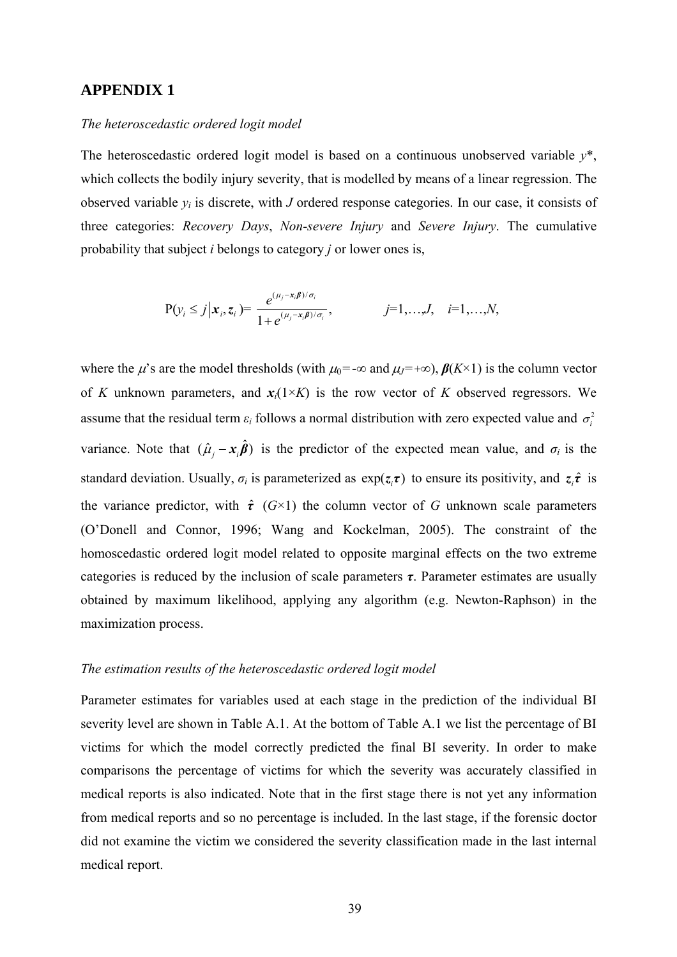### **APPENDIX 1**

#### *The heteroscedastic ordered logit model*

The heteroscedastic ordered logit model is based on a continuous unobserved variable *y*\*, which collects the bodily injury severity, that is modelled by means of a linear regression. The observed variable  $y_i$  is discrete, with *J* ordered response categories. In our case, it consists of three categories: *Recovery Days*, *Non-severe Injury* and *Severe Injury*. The cumulative probability that subject *i* belongs to category *j* or lower ones is,

$$
P(y_i \le j | x_i, z_i) = \frac{e^{(\mu_j - x_i \beta)/\sigma_i}}{1 + e^{(\mu_j - x_i \beta)/\sigma_i}}, \qquad j = 1,...,J, \quad i = 1,...,N,
$$

where the  $\mu$ 's are the model thresholds (with  $\mu_0 = -\infty$  and  $\mu_J = +\infty$ ),  $\beta(K \times 1)$  is the column vector of *K* unknown parameters, and  $x_i(1 \times K)$  is the row vector of *K* observed regressors. We assume that the residual term  $\varepsilon_i$  follows a normal distribution with zero expected value and  $\sigma_i^2$ variance. Note that  $(\hat{\mu}_i - x_i \hat{\boldsymbol{\beta}})$  is the predictor of the expected mean value, and  $\sigma_i$  is the standard deviation. Usually,  $\sigma_i$  is parameterized as  $exp(z_i \tau)$  to ensure its positivity, and  $z_i \hat{\tau}$  is the variance predictor, with  $\hat{\tau}$  ( $G \times 1$ ) the column vector of *G* unknown scale parameters (O'Donell and Connor, 1996; Wang and Kockelman, 2005). The constraint of the homoscedastic ordered logit model related to opposite marginal effects on the two extreme categories is reduced by the inclusion of scale parameters  $\tau$ . Parameter estimates are usually obtained by maximum likelihood, applying any algorithm (e.g. Newton-Raphson) in the maximization process.

#### *The estimation results of the heteroscedastic ordered logit model*

Parameter estimates for variables used at each stage in the prediction of the individual BI severity level are shown in Table A.1. At the bottom of Table A.1 we list the percentage of BI victims for which the model correctly predicted the final BI severity. In order to make comparisons the percentage of victims for which the severity was accurately classified in medical reports is also indicated. Note that in the first stage there is not yet any information from medical reports and so no percentage is included. In the last stage, if the forensic doctor did not examine the victim we considered the severity classification made in the last internal medical report.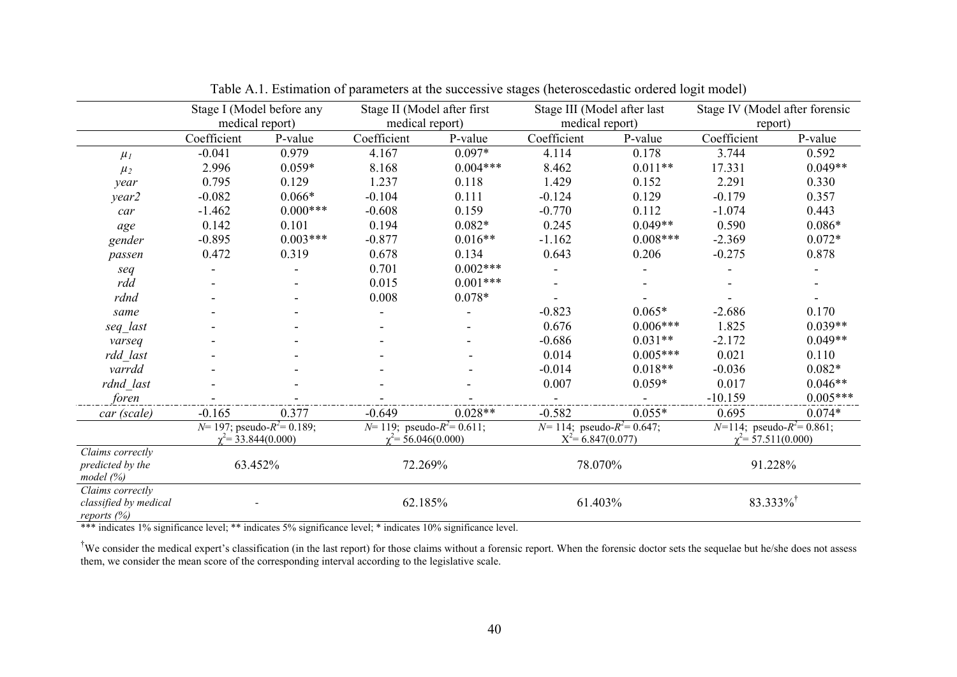|                              | Stage I (Model before any       |            | Stage II (Model after first       |            |                                   | Stage III (Model after last |                                   | Stage IV (Model after forensic |  |
|------------------------------|---------------------------------|------------|-----------------------------------|------------|-----------------------------------|-----------------------------|-----------------------------------|--------------------------------|--|
|                              | medical report)                 |            | medical report)                   |            | medical report)                   |                             | report)                           |                                |  |
|                              | Coefficient                     | P-value    | Coefficient                       | P-value    | Coefficient                       | P-value                     | Coefficient                       | P-value                        |  |
| $\mu_I$                      | $-0.041$                        | 0.979      | 4.167                             | $0.097*$   | 4.114                             | 0.178                       | 3.744                             | 0.592                          |  |
| $\mu_2$                      | 2.996                           | $0.059*$   | 8.168                             | $0.004***$ | 8.462                             | $0.011**$                   | 17.331                            | $0.049**$                      |  |
| year                         | 0.795                           | 0.129      | 1.237                             | 0.118      | 1.429                             | 0.152                       | 2.291                             | 0.330                          |  |
| year2                        | $-0.082$                        | $0.066*$   | $-0.104$                          | 0.111      | $-0.124$                          | 0.129                       | $-0.179$                          | 0.357                          |  |
| car                          | $-1.462$                        | $0.000***$ | $-0.608$                          | 0.159      | $-0.770$                          | 0.112                       | $-1.074$                          | 0.443                          |  |
| age                          | 0.142                           | 0.101      | 0.194                             | $0.082*$   | 0.245                             | $0.049**$                   | 0.590                             | $0.086*$                       |  |
| gender                       | $-0.895$                        | $0.003***$ | $-0.877$                          | $0.016**$  | $-1.162$                          | $0.008***$                  | $-2.369$                          | $0.072*$                       |  |
| passen                       | 0.472                           | 0.319      | 0.678                             | 0.134      | 0.643                             | 0.206                       | $-0.275$                          | 0.878                          |  |
| seq                          |                                 |            | 0.701                             | $0.002***$ |                                   |                             |                                   |                                |  |
| rdd                          |                                 |            | 0.015                             | $0.001***$ |                                   |                             |                                   |                                |  |
| rdnd                         |                                 |            | 0.008                             | $0.078*$   |                                   |                             |                                   |                                |  |
| same                         |                                 |            |                                   |            | $-0.823$                          | $0.065*$                    | $-2.686$                          | 0.170                          |  |
| seq_last                     |                                 |            |                                   |            | 0.676                             | $0.006***$                  | 1.825                             | $0.039**$                      |  |
| varseq                       |                                 |            |                                   |            | $-0.686$                          | $0.031**$                   | $-2.172$                          | $0.049**$                      |  |
| rdd last                     |                                 |            |                                   |            | 0.014                             | $0.005***$                  | 0.021                             | 0.110                          |  |
| varrdd                       |                                 |            |                                   |            | $-0.014$                          | $0.018**$                   | $-0.036$                          | $0.082*$                       |  |
| rdnd last                    |                                 |            |                                   |            | 0.007                             | $0.059*$                    | 0.017                             | $0.046**$                      |  |
| foren                        |                                 |            |                                   |            |                                   |                             | $-10.159$                         | $0.005***$                     |  |
| car (scale)                  | $-0.165$                        | 0.377      | $-0.649$                          | $0.028**$  | $-0.582$                          | $0.055*$                    | 0.695                             | $0.074*$                       |  |
|                              | $N=197$ ; pseudo- $R^2=0.189$ ; |            | $N=119$ ; pseudo- $R^2 = 0.611$ ; |            | $N=114$ ; pseudo- $R^2 = 0.647$ ; |                             | $N=114$ ; pseudo- $R^2 = 0.861$ ; |                                |  |
|                              | $\chi^2$ = 33.844(0.000)        |            | $\chi^2$ = 56.046(0.000)          |            | $X^2$ = 6.847(0.077)              |                             | $\chi^2$ = 57.511(0.000)          |                                |  |
| Claims correctly             |                                 |            |                                   |            |                                   |                             |                                   |                                |  |
| predicted by the<br>model(%) | 63.452%                         |            | 72.269%                           |            | 78.070%                           |                             | 91.228%                           |                                |  |
| Claims correctly             |                                 |            |                                   |            |                                   |                             |                                   |                                |  |
| classified by medical        |                                 |            | 62.185%                           |            | 61.403%                           |                             | $83.333\%$                        |                                |  |
| reports (%)                  |                                 |            |                                   |            |                                   |                             |                                   |                                |  |

Table A.1. Estimation of parameters at the successive stages (heteroscedastic ordered logit model)

\*\*\* indicates 1% significance level; \*\* indicates 5% significance level; \* indicates 10% significance level.

<sup>†</sup>We consider the medical expert's classification (in the last report) for those claims without a forensic report. When the forensic doctor sets the sequelae but he/she does not assess them, we consider the mean score of the corresponding interval according to the legislative scale.